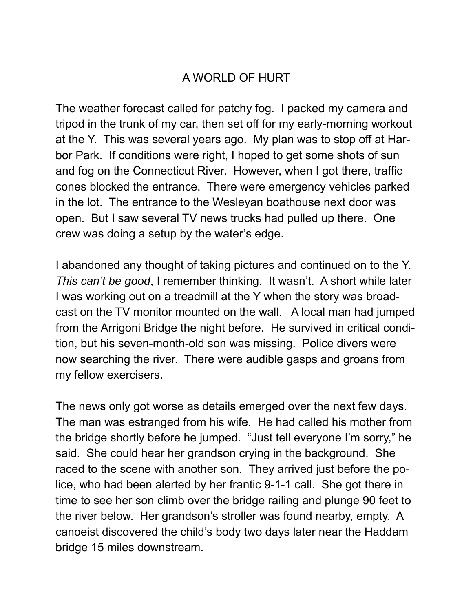## A WORLD OF HURT

The weather forecast called for patchy fog. I packed my camera and tripod in the trunk of my car, then set off for my early-morning workout at the Y. This was several years ago. My plan was to stop off at Harbor Park. If conditions were right, I hoped to get some shots of sun and fog on the Connecticut River. However, when I got there, traffic cones blocked the entrance. There were emergency vehicles parked in the lot. The entrance to the Wesleyan boathouse next door was open. But I saw several TV news trucks had pulled up there. One crew was doing a setup by the water's edge.

I abandoned any thought of taking pictures and continued on to the Y. *This can't be good*, I remember thinking. It wasn't. A short while later I was working out on a treadmill at the Y when the story was broadcast on the TV monitor mounted on the wall. A local man had jumped from the Arrigoni Bridge the night before. He survived in critical condition, but his seven-month-old son was missing. Police divers were now searching the river. There were audible gasps and groans from my fellow exercisers.

The news only got worse as details emerged over the next few days. The man was estranged from his wife. He had called his mother from the bridge shortly before he jumped. "Just tell everyone I'm sorry," he said. She could hear her grandson crying in the background. She raced to the scene with another son. They arrived just before the police, who had been alerted by her frantic 9-1-1 call. She got there in time to see her son climb over the bridge railing and plunge 90 feet to the river below. Her grandson's stroller was found nearby, empty. A canoeist discovered the child's body two days later near the Haddam bridge 15 miles downstream.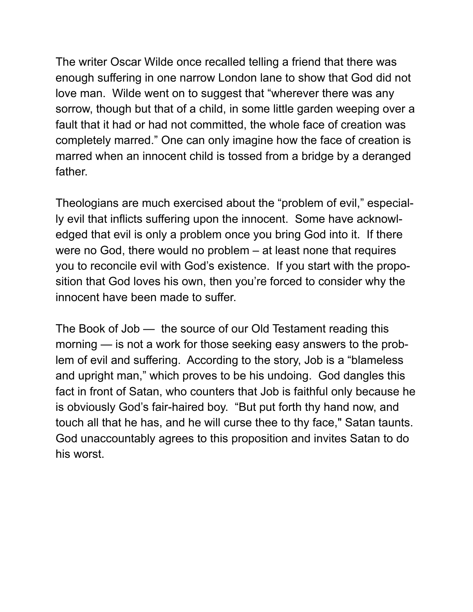The writer Oscar Wilde once recalled telling a friend that there was enough suffering in one narrow London lane to show that God did not love man. Wilde went on to suggest that "wherever there was any sorrow, though but that of a child, in some little garden weeping over a fault that it had or had not committed, the whole face of creation was completely marred." One can only imagine how the face of creation is marred when an innocent child is tossed from a bridge by a deranged father.

Theologians are much exercised about the "problem of evil," especially evil that inflicts suffering upon the innocent. Some have acknowledged that evil is only a problem once you bring God into it. If there were no God, there would no problem – at least none that requires you to reconcile evil with God's existence. If you start with the proposition that God loves his own, then you're forced to consider why the innocent have been made to suffer.

The Book of Job — the source of our Old Testament reading this morning — is not a work for those seeking easy answers to the problem of evil and suffering. According to the story, Job is a "blameless and upright man," which proves to be his undoing. God dangles this fact in front of Satan, who counters that Job is faithful only because he is obviously God's fair-haired boy. "But put forth thy hand now, and touch all that he has, and he will curse thee to thy face," Satan taunts. God unaccountably agrees to this proposition and invites Satan to do his worst.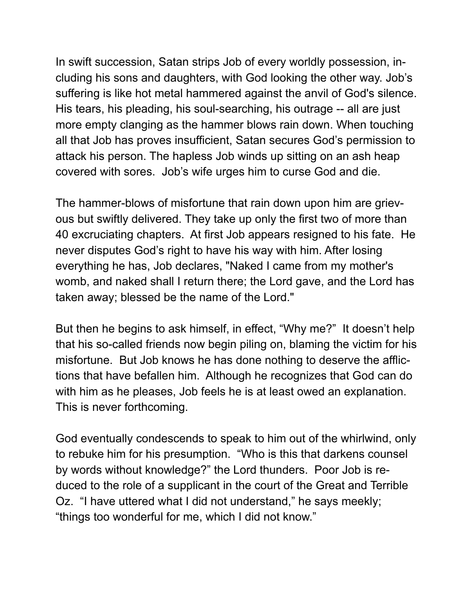In swift succession, Satan strips Job of every worldly possession, including his sons and daughters, with God looking the other way. Job's suffering is like hot metal hammered against the anvil of God's silence. His tears, his pleading, his soul-searching, his outrage -- all are just more empty clanging as the hammer blows rain down. When touching all that Job has proves insufficient, Satan secures God's permission to attack his person. The hapless Job winds up sitting on an ash heap covered with sores. Job's wife urges him to curse God and die.

The hammer-blows of misfortune that rain down upon him are grievous but swiftly delivered. They take up only the first two of more than 40 excruciating chapters. At first Job appears resigned to his fate. He never disputes God's right to have his way with him. After losing everything he has, Job declares, "Naked I came from my mother's womb, and naked shall I return there; the Lord gave, and the Lord has taken away; blessed be the name of the Lord."

But then he begins to ask himself, in effect, "Why me?" It doesn't help that his so-called friends now begin piling on, blaming the victim for his misfortune. But Job knows he has done nothing to deserve the afflictions that have befallen him. Although he recognizes that God can do with him as he pleases, Job feels he is at least owed an explanation. This is never forthcoming.

God eventually condescends to speak to him out of the whirlwind, only to rebuke him for his presumption. "Who is this that darkens counsel by words without knowledge?" the Lord thunders. Poor Job is reduced to the role of a supplicant in the court of the Great and Terrible Oz. "I have uttered what I did not understand," he says meekly; "things too wonderful for me, which I did not know."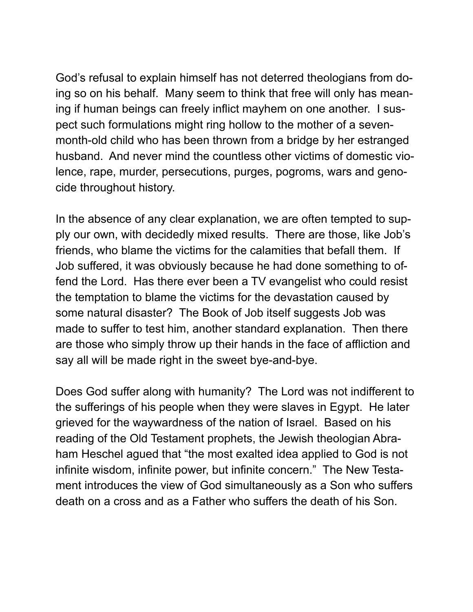God's refusal to explain himself has not deterred theologians from doing so on his behalf. Many seem to think that free will only has meaning if human beings can freely inflict mayhem on one another. I suspect such formulations might ring hollow to the mother of a sevenmonth-old child who has been thrown from a bridge by her estranged husband. And never mind the countless other victims of domestic violence, rape, murder, persecutions, purges, pogroms, wars and genocide throughout history.

In the absence of any clear explanation, we are often tempted to supply our own, with decidedly mixed results. There are those, like Job's friends, who blame the victims for the calamities that befall them. If Job suffered, it was obviously because he had done something to offend the Lord. Has there ever been a TV evangelist who could resist the temptation to blame the victims for the devastation caused by some natural disaster? The Book of Job itself suggests Job was made to suffer to test him, another standard explanation. Then there are those who simply throw up their hands in the face of affliction and say all will be made right in the sweet bye-and-bye.

Does God suffer along with humanity? The Lord was not indifferent to the sufferings of his people when they were slaves in Egypt. He later grieved for the waywardness of the nation of Israel. Based on his reading of the Old Testament prophets, the Jewish theologian Abraham Heschel agued that "the most exalted idea applied to God is not infinite wisdom, infinite power, but infinite concern." The New Testament introduces the view of God simultaneously as a Son who suffers death on a cross and as a Father who suffers the death of his Son.